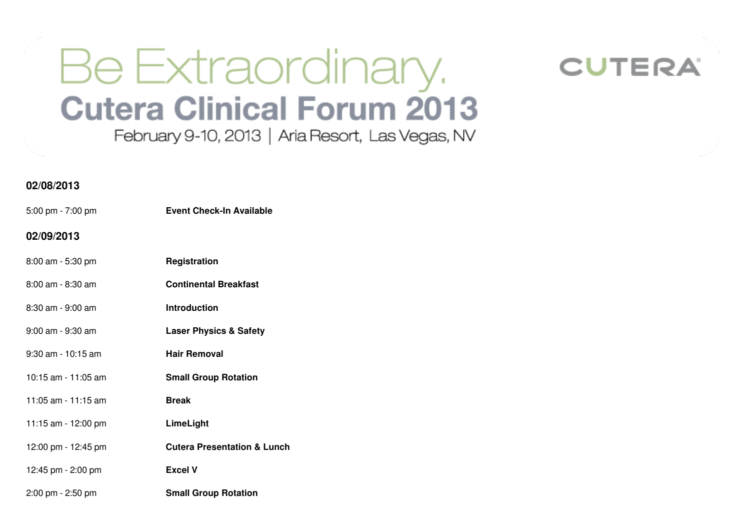## Be Extraordinary. **Cutera Clinical Forum 2013**

February 9-10, 2013 | Aria Resort, Las Vegas, NV



## **02/08/2013**

5:00 pm - 7:00 pm **Event Check-In Available**

## **02/09/2013**

- 8:00 am 5:30 pm **Registration**
- 8:00 am 8:30 am **Continental Breakfast**
- 8:30 am 9:00 am **Introduction**
- 9:00 am 9:30 am **Laser Physics & Safety**
- 9:30 am 10:15 am **Hair Removal**
- 10:15 am 11:05 am **Small Group Rotation**
- 11:05 am 11:15 am **Break**
- 11:15 am 12:00 pm **LimeLight**
- 12:00 pm 12:45 pm **Cutera Presentation & Lunch**
- 12:45 pm 2:00 pm **Excel V**
- 2:00 pm 2:50 pm **Small Group Rotation**